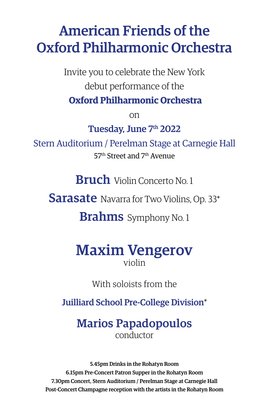# American Friends of the Oxford Philharmonic Orchestra

Invite you to celebrate the New York debut performance of the

**Oxford Philharmonic Orchestra**

on

Tuesday, June 7th 2022

Stern Auditorium / Perelman Stage at Carnegie Hall 57th Street and 7th Avenue

**Bruch** Violin Concerto No. 1

**Sarasate** Navarra for Two Violins, Op. 33\*

**Brahms** Symphony No. 1

# Maxim Vengerov violin

With soloists from the

Juilliard School Pre-College Division\*

## Marios Papadopoulos conductor

5.45pm Drinks in the Rohatyn Room 6.15pm Pre-Concert Patron Supper in the Rohatyn Room 7.30pm Concert, Stern Auditorium / Perelman Stage at Carnegie Hall Post-Concert Champagne reception with the artists in the Rohatyn Room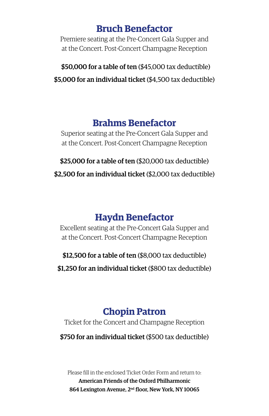#### **Bruch Benefactor**

Premiere seating at the Pre-Concert Gala Supper and at the Concert. Post-Concert Champagne Reception

\$50,000 for a table of ten (\$45,000 tax deductible) \$5,000 for an individual ticket (\$4,500 tax deductible)

### **Brahms Benefactor**

Superior seating at the Pre-Concert Gala Supper and at the Concert. Post-Concert Champagne Reception

\$25,000 for a table of ten (\$20,000 tax deductible) \$2,500 for an individual ticket (\$2,000 tax deductible)

# **Haydn Benefactor**

Excellent seating at the Pre-Concert Gala Supper and at the Concert. Post-Concert Champagne Reception

\$12,500 for a table of ten (\$8,000 tax deductible)

\$1,250 for an individual ticket (\$800 tax deductible)

# **Chopin Patron**

Ticket for the Concert and Champagne Reception

\$750 for an individual ticket (\$500 tax deductible)

Please fill in the enclosed Ticket Order Form and return to: American Friends of the Oxford Philharmonic 864 Lexington Avenue, 2nd floor, New York, NY 10065